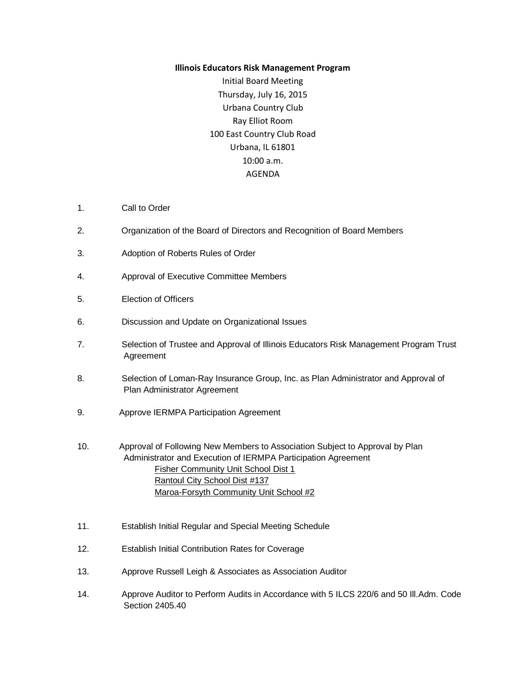## **Illinois Educators Risk Management Program**

Initial Board Meeting Thursday, July 16, 2015 Urbana Country Club Ray Elliot Room 100 East Country Club Road Urbana, IL 61801 10:00 a.m. AGENDA

- 1. Call to Order
- 2. Organization of the Board of Directors and Recognition of Board Members
- 3. Adoption of Roberts Rules of Order
- 4. Approval of Executive Committee Members
- 5. Election of Officers
- 6. Discussion and Update on Organizational Issues
- 7. Selection of Trustee and Approval of Illinois Educators Risk Management Program Trust Agreement
- 8. Selection of Loman-Ray Insurance Group, Inc. as Plan Administrator and Approval of Plan Administrator Agreement
- 9. Approve IERMPA Participation Agreement
- 10. Approval of Following New Members to Association Subject to Approval by Plan Administrator and Execution of IERMPA Participation Agreement Fisher Community Unit School Dist 1 Rantoul City School Dist #137 Maroa-Forsyth Community Unit School #2
- 11. Establish Initial Regular and Special Meeting Schedule
- 12. Establish Initial Contribution Rates for Coverage
- 13. Approve Russell Leigh & Associates as Association Auditor
- 14. Approve Auditor to Perform Audits in Accordance with 5 ILCS 220/6 and 50 Ill.Adm. Code Section 2405.40